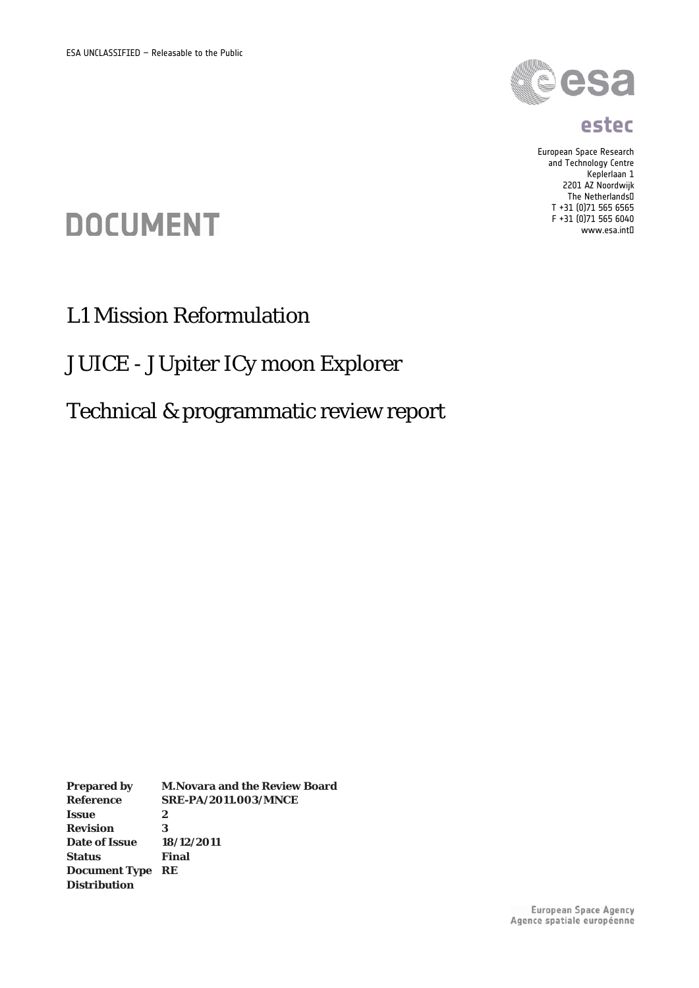

#### **estec**

European Space Research and Technology Centre Keplerlaan 1 2201 AZ Noordwijk The Netherlands T +31 (0)71 565 6565 F +31 (0)71 565 6040 www.esa.int

# **DOCUMENT**

# L1 Mission Reformulation

### JUICE - JUpiter ICy moon Explorer

# Technical & programmatic review report

**Prepared by M.Novara and the Review Board Reference SRE-PA/2011.003/MNCE Issue 2 Revision 3 Date of Issue 18/12/2011 Status Final Document Type RE Distribution**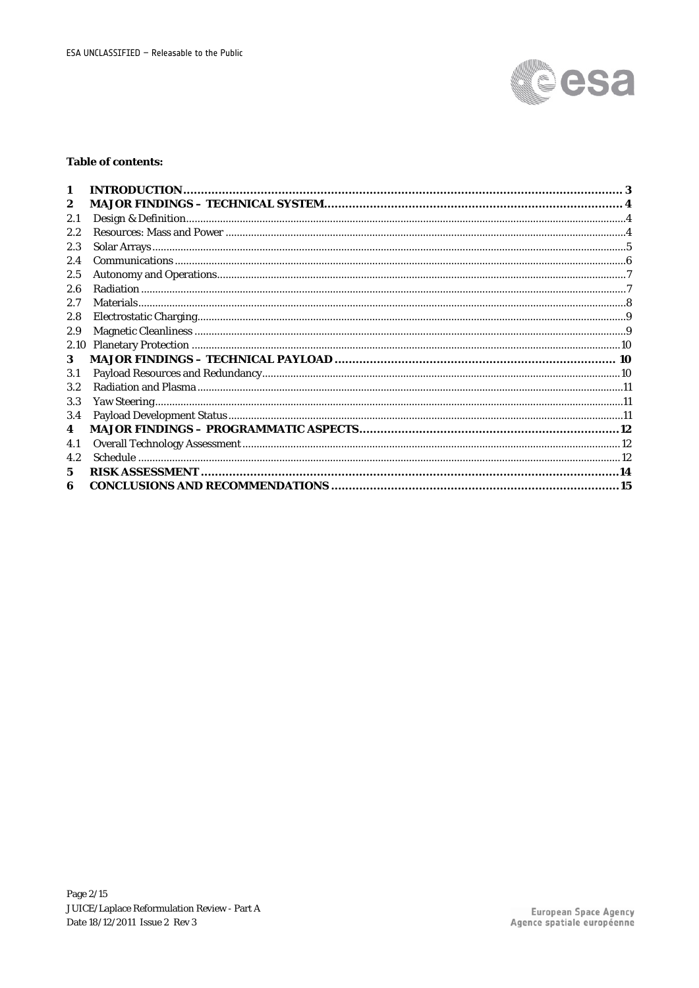

#### **Table of contents:**

| 1       |  |
|---------|--|
| 2       |  |
| 2.1     |  |
| 2.2     |  |
| 2.3     |  |
| 2.4     |  |
| 2.5     |  |
| 2.6     |  |
| 2.7     |  |
| 2.8     |  |
| 2.9     |  |
| 2.10    |  |
| 3       |  |
| 3.1     |  |
| $3.2\,$ |  |
| 3.3     |  |
| 3.4     |  |
| 4       |  |
| 4.1     |  |
| 4.2     |  |
| 5       |  |
| 6       |  |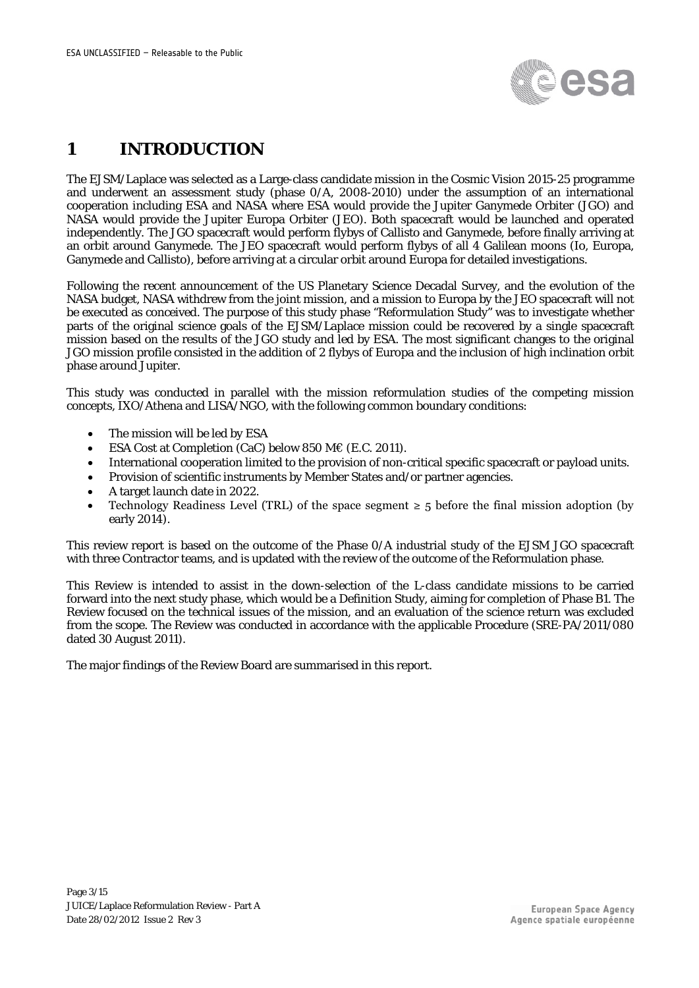

### <span id="page-2-0"></span>**1 INTRODUCTION**

The EJSM/Laplace was selected as a Large-class candidate mission in the Cosmic Vision 2015-25 programme and underwent an assessment study (phase 0/A, 2008-2010) under the assumption of an international cooperation including ESA and NASA where ESA would provide the Jupiter Ganymede Orbiter (JGO) and NASA would provide the Jupiter Europa Orbiter (JEO). Both spacecraft would be launched and operated independently. The JGO spacecraft would perform flybys of Callisto and Ganymede, before finally arriving at an orbit around Ganymede. The JEO spacecraft would perform flybys of all 4 Galilean moons (Io, Europa, Ganymede and Callisto), before arriving at a circular orbit around Europa for detailed investigations.

Following the recent announcement of the US Planetary Science Decadal Survey, and the evolution of the NASA budget, NASA withdrew from the joint mission, and a mission to Europa by the JEO spacecraft will not be executed as conceived. The purpose of this study phase "Reformulation Study" was to investigate whether parts of the original science goals of the EJSM/Laplace mission could be recovered by a single spacecraft mission based on the results of the JGO study and led by ESA. The most significant changes to the original JGO mission profile consisted in the addition of 2 flybys of Europa and the inclusion of high inclination orbit phase around Jupiter.

This study was conducted in parallel with the mission reformulation studies of the competing mission concepts, IXO/Athena and LISA/NGO, with the following common boundary conditions:

- The mission will be led by ESA
- ESA Cost at Completion (CaC) below 850 M€ (E.C. 2011).
- International cooperation limited to the provision of non-critical specific spacecraft or payload units.
- Provision of scientific instruments by Member States and/or partner agencies.
- A target launch date in 2022.
- Technology Readiness Level (TRL) of the space segment  $\geq 5$  before the final mission adoption (by early 2014).

This review report is based on the outcome of the Phase 0/A industrial study of the EJSM JGO spacecraft with three Contractor teams, and is updated with the review of the outcome of the Reformulation phase.

This Review is intended to assist in the down-selection of the L-class candidate missions to be carried forward into the next study phase, which would be a Definition Study, aiming for completion of Phase B1. The Review focused on the technical issues of the mission, and an evaluation of the science return was excluded from the scope. The Review was conducted in accordance with the applicable Procedure (SRE-PA/2011/080 dated 30 August 2011).

<span id="page-2-1"></span>The major findings of the Review Board are summarised in this report.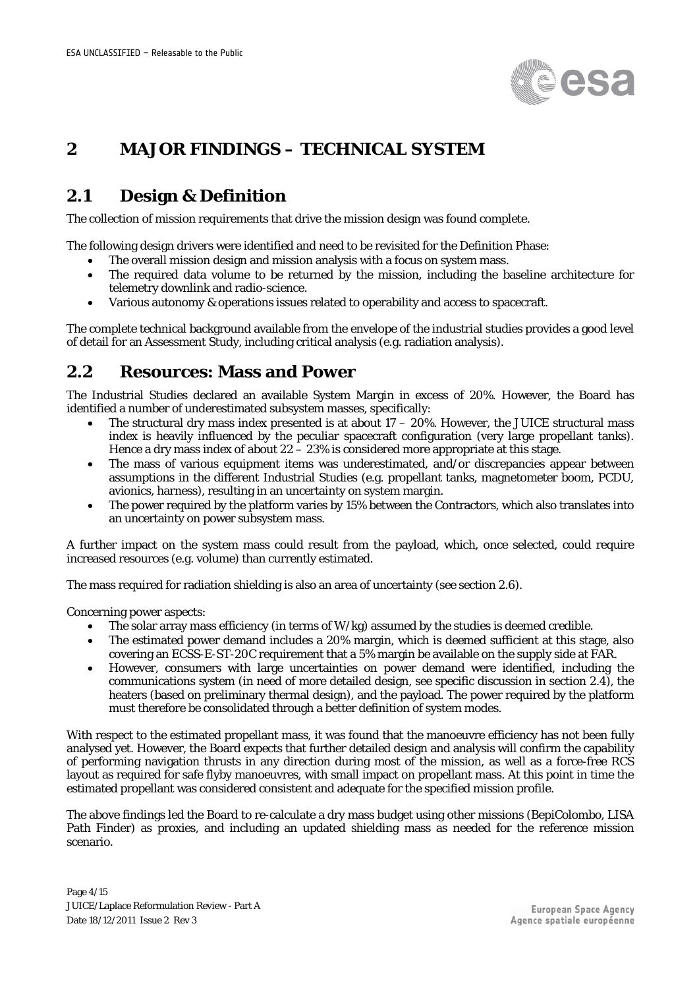

#### <span id="page-3-0"></span>**2 MAJOR FINDINGS – TECHNICAL SYSTEM**

#### <span id="page-3-1"></span>**2.1 Design & Definition**

The collection of mission requirements that drive the mission design was found complete.

The following design drivers were identified and need to be revisited for the Definition Phase:

- The overall mission design and mission analysis with a focus on system mass.
- The required data volume to be returned by the mission, including the baseline architecture for telemetry downlink and radio-science.
- Various autonomy & operations issues related to operability and access to spacecraft.

The complete technical background available from the envelope of the industrial studies provides a good level of detail for an Assessment Study, including critical analysis (e.g. radiation analysis).

#### <span id="page-3-2"></span>**2.2 Resources: Mass and Power**

The Industrial Studies declared an available System Margin in excess of 20%. However, the Board has identified a number of underestimated subsystem masses, specifically:

- The structural dry mass index presented is at about  $17 20\%$ . However, the JUICE structural mass index is heavily influenced by the peculiar spacecraft configuration (very large propellant tanks). Hence a dry mass index of about  $22 - 23\%$  is considered more appropriate at this stage.
- The mass of various equipment items was underestimated, and/or discrepancies appear between assumptions in the different Industrial Studies (e.g. propellant tanks, magnetometer boom, PCDU, avionics, harness), resulting in an uncertainty on system margin.
- The power required by the platform varies by 15% between the Contractors, which also translates into an uncertainty on power subsystem mass.

A further impact on the system mass could result from the payload, which, once selected, could require increased resources (e.g. volume) than currently estimated.

The mass required for radiation shielding is also an area of uncertainty (see section [2.6\)](#page-6-1).

Concerning power aspects:

- The solar array mass efficiency (in terms of W/kg) assumed by the studies is deemed credible.
- The estimated power demand includes a 20% margin, which is deemed sufficient at this stage, also covering an ECSS-E-ST-20C requirement that a 5% margin be available on the supply side at FAR.
- However, consumers with large uncertainties on power demand were identified, including the communications system (in need of more detailed design, see specific discussion in section [2.4\)](#page-5-0), the heaters (based on preliminary thermal design), and the payload. The power required by the platform must therefore be consolidated through a better definition of system modes.

With respect to the estimated propellant mass, it was found that the manoeuvre efficiency has not been fully analysed yet. However, the Board expects that further detailed design and analysis will confirm the capability of performing navigation thrusts in any direction during most of the mission, as well as a force-free RCS layout as required for safe flyby manoeuvres, with small impact on propellant mass. At this point in time the estimated propellant was considered consistent and adequate for the specified mission profile.

The above findings led the Board to re-calculate a dry mass budget using other missions (BepiColombo, LISA Path Finder) as proxies, and including an updated shielding mass as needed for the reference mission scenario.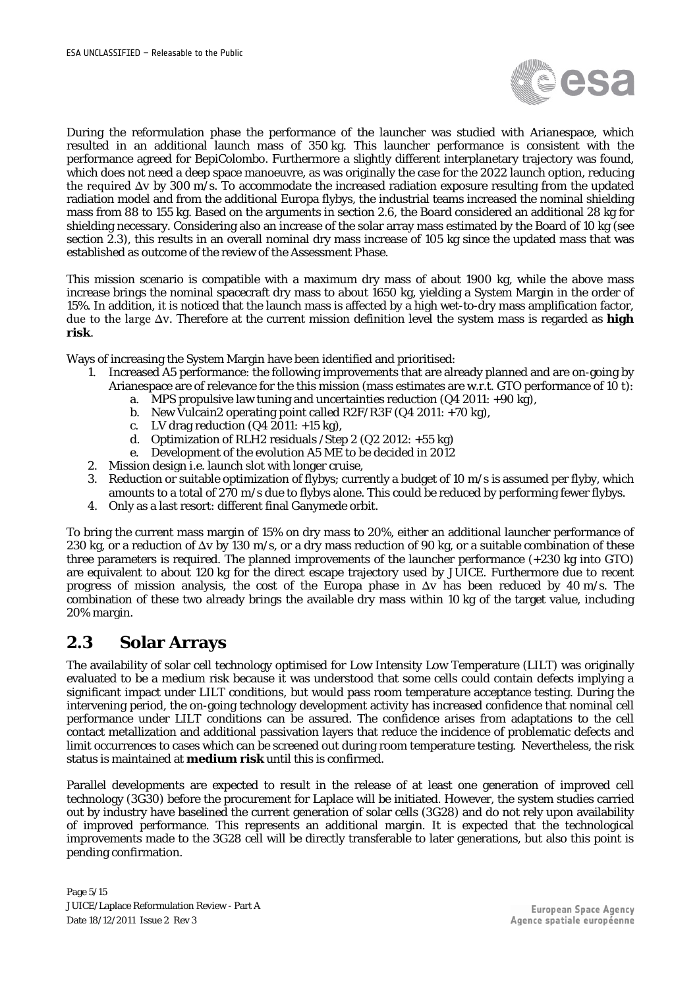

During the reformulation phase the performance of the launcher was studied with Arianespace, which resulted in an additional launch mass of 350 kg. This launcher performance is consistent with the performance agreed for BepiColombo. Furthermore a slightly different interplanetary trajectory was found, which does not need a deep space manoeuvre, as was originally the case for the 2022 launch option, reducing the required Δ*v* by 300 m/s. To accommodate the increased radiation exposure resulting from the updated radiation model and from the additional Europa flybys, the industrial teams increased the nominal shielding mass from 88 to 155 kg*.* Based on the arguments in section [2.6,](#page-6-1) the Board considered an additional 28 kg for shielding necessary. Considering also an increase of the solar array mass estimated by the Board of 10 kg (see section [2.3\)](#page-4-0), this results in an overall nominal dry mass increase of 105 kg since the updated mass that was established as outcome of the review of the Assessment Phase.

This mission scenario is compatible with a maximum dry mass of about 1900 kg*,* while the above mass increase brings the nominal spacecraft dry mass to about 1650 kg*,* yielding a System Margin in the order of 15%*.* In addition, it is noticed that the launch mass is affected by a high wet-to-dry mass amplification factor, due to the large Δ*v*. Therefore at the current mission definition level the system mass is regarded as **high risk**.

Ways of increasing the System Margin have been identified and prioritised:

- 1. Increased A5 performance: the following improvements that are already planned and are on-going by Arianespace are of relevance for the this mission (mass estimates are w.r.t. GTO performance of 10 t):
	- a. MPS propulsive law tuning and uncertainties reduction  $(Q4 2011: +90 \text{ kg})$ ,
	- b. New Vulcain2 operating point called R2F/R3F  $(Q4 2011: +70 kg)$ , c. LV drag reduction  $(Q4 2011: +15 kg)$ ,
	- LV drag reduction  $(Q4 2011: +15 kg)$ ,
	- d. Optimization of RLH2 residuals /Step 2 (Q2 2012: +55 kg)
	- e. Development of the evolution A5 ME to be decided in 2012
- 2. Mission design i.e. launch slot with longer cruise,
- 3. Reduction or suitable optimization of flybys; currently a budget of 10 m/s is assumed per flyby, which amounts to a total of 270 m/s due to flybys alone. This could be reduced by performing fewer flybys.
- 4. Only as a last resort: different final Ganymede orbit.

To bring the current mass margin of 15% on dry mass to 20%, either an additional launcher performance of 230 kg, or a reduction of Δ*v* by 130 m/s, or a dry mass reduction of 90 kg, or a suitable combination of these three parameters is required. The planned improvements of the launcher performance (+230 kg into GTO) are equivalent to about 120 kg for the direct escape trajectory used by JUICE. Furthermore due to recent progress of mission analysis, the cost of the Europa phase in Δ*v* has been reduced by 40 m/s. The combination of these two already brings the available dry mass within 10 kg of the target value, including 20% margin.

#### <span id="page-4-0"></span>**2.3 Solar Arrays**

The availability of solar cell technology optimised for Low Intensity Low Temperature (LILT) was originally evaluated to be a medium risk because it was understood that some cells could contain defects implying a significant impact under LILT conditions, but would pass room temperature acceptance testing. During the intervening period, the on-going technology development activity has increased confidence that nominal cell performance under LILT conditions can be assured. The confidence arises from adaptations to the cell contact metallization and additional passivation layers that reduce the incidence of problematic defects and limit occurrences to cases which can be screened out during room temperature testing. Nevertheless, the risk status is maintained at **medium risk** until this is confirmed.

Parallel developments are expected to result in the release of at least one generation of improved cell technology (3G30) before the procurement for Laplace will be initiated. However, the system studies carried out by industry have baselined the current generation of solar cells (3G28) and do not rely upon availability of improved performance. This represents an additional margin. It is expected that the technological improvements made to the 3G28 cell will be directly transferable to later generations, but also this point is pending confirmation.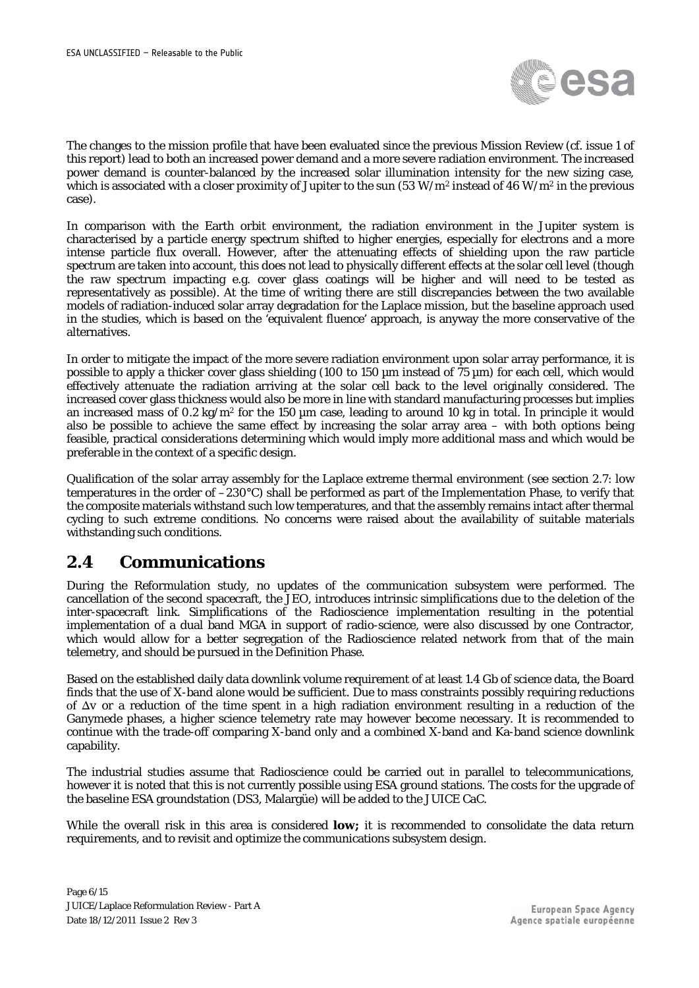

The changes to the mission profile that have been evaluated since the previous Mission Review (cf. issue 1 of this report) lead to both an increased power demand and a more severe radiation environment. The increased power demand is counter-balanced by the increased solar illumination intensity for the new sizing case, which is associated with a closer proximity of Jupiter to the sun (53 W/m<sup>2</sup> instead of 46 W/m<sup>2</sup> in the previous case).

In comparison with the Earth orbit environment, the radiation environment in the Jupiter system is characterised by a particle energy spectrum shifted to higher energies, especially for electrons and a more intense particle flux overall. However, after the attenuating effects of shielding upon the raw particle spectrum are taken into account, this does not lead to physically different effects at the solar cell level (though the raw spectrum impacting e.g. cover glass coatings will be higher and will need to be tested as representatively as possible). At the time of writing there are still discrepancies between the two available models of radiation-induced solar array degradation for the Laplace mission, but the baseline approach used in the studies, which is based on the 'equivalent fluence' approach, is anyway the more conservative of the alternatives.

In order to mitigate the impact of the more severe radiation environment upon solar array performance, it is possible to apply a thicker cover glass shielding (100 to 150 µm instead of 75 µm) for each cell, which would effectively attenuate the radiation arriving at the solar cell back to the level originally considered. The increased cover glass thickness would also be more in line with standard manufacturing processes but implies an increased mass of 0.2 kg/m<sup>2</sup> for the 150  $\mu$ m case, leading to around 10 kg in total. In principle it would also be possible to achieve the same effect by increasing the solar array area – with both options being feasible, practical considerations determining which would imply more additional mass and which would be preferable in the context of a specific design.

Qualification of the solar array assembly for the Laplace extreme thermal environment (see section [2.7:](#page-7-0) low temperatures in the order of –230°C) shall be performed as part of the Implementation Phase, to verify that the composite materials withstand such low temperatures, and that the assembly remains intact after thermal cycling to such extreme conditions. No concerns were raised about the availability of suitable materials withstanding such conditions.

#### <span id="page-5-0"></span>**2.4 Communications**

During the Reformulation study, no updates of the communication subsystem were performed. The cancellation of the second spacecraft, the JEO, introduces intrinsic simplifications due to the deletion of the inter-spacecraft link. Simplifications of the Radioscience implementation resulting in the potential implementation of a dual band MGA in support of radio-science, were also discussed by one Contractor, which would allow for a better segregation of the Radioscience related network from that of the main telemetry, and should be pursued in the Definition Phase.

Based on the established daily data downlink volume requirement of at least 1.4 Gb of science data, the Board finds that the use of X-band alone would be sufficient. Due to mass constraints possibly requiring reductions of Δ*v* or a reduction of the time spent in a high radiation environment resulting in a reduction of the Ganymede phases, a higher science telemetry rate may however become necessary. It is recommended to continue with the trade-off comparing X-band only and a combined X-band and Ka-band science downlink capability.

The industrial studies assume that Radioscience could be carried out in parallel to telecommunications, however it is noted that this is not currently possible using ESA ground stations. The costs for the upgrade of the baseline ESA groundstation (DS3, Malargüe) will be added to the JUICE CaC.

While the overall risk in this area is considered **low;** it is recommended to consolidate the data return requirements, and to revisit and optimize the communications subsystem design.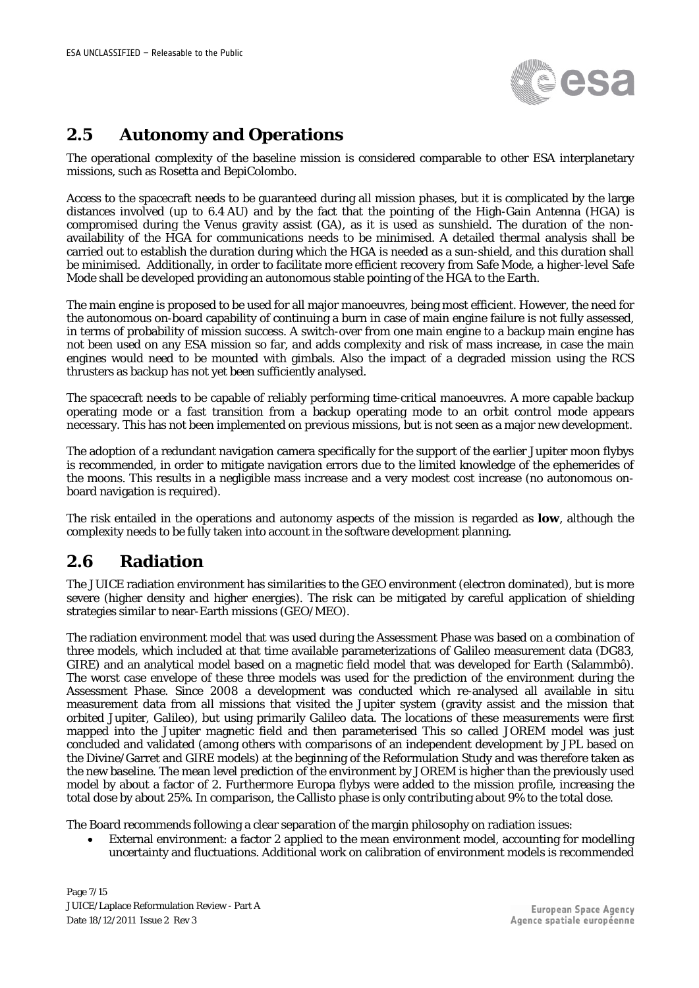

#### <span id="page-6-0"></span>**2.5 Autonomy and Operations**

The operational complexity of the baseline mission is considered comparable to other ESA interplanetary missions, such as Rosetta and BepiColombo.

Access to the spacecraft needs to be guaranteed during all mission phases, but it is complicated by the large distances involved (up to 6.4 AU) and by the fact that the pointing of the High-Gain Antenna (HGA) is compromised during the Venus gravity assist (GA), as it is used as sunshield. The duration of the nonavailability of the HGA for communications needs to be minimised. A detailed thermal analysis shall be carried out to establish the duration during which the HGA is needed as a sun-shield, and this duration shall be minimised. Additionally, in order to facilitate more efficient recovery from Safe Mode, a higher-level Safe Mode shall be developed providing an autonomous stable pointing of the HGA to the Earth.

The main engine is proposed to be used for all major manoeuvres, being most efficient. However, the need for the autonomous on-board capability of continuing a burn in case of main engine failure is not fully assessed, in terms of probability of mission success. A switch-over from one main engine to a backup main engine has not been used on any ESA mission so far, and adds complexity and risk of mass increase, in case the main engines would need to be mounted with gimbals. Also the impact of a degraded mission using the RCS thrusters as backup has not yet been sufficiently analysed.

The spacecraft needs to be capable of reliably performing time-critical manoeuvres. A more capable backup operating mode or a fast transition from a backup operating mode to an orbit control mode appears necessary. This has not been implemented on previous missions, but is not seen as a major new development.

The adoption of a redundant navigation camera specifically for the support of the earlier Jupiter moon flybys is recommended, in order to mitigate navigation errors due to the limited knowledge of the ephemerides of the moons. This results in a negligible mass increase and a very modest cost increase (no autonomous onboard navigation is required).

The risk entailed in the operations and autonomy aspects of the mission is regarded as **low**, although the complexity needs to be fully taken into account in the software development planning.

#### <span id="page-6-1"></span>**2.6 Radiation**

The JUICE radiation environment has similarities to the GEO environment (electron dominated), but is more severe (higher density and higher energies). The risk can be mitigated by careful application of shielding strategies similar to near-Earth missions (GEO/MEO).

The radiation environment model that was used during the Assessment Phase was based on a combination of three models, which included at that time available parameterizations of Galileo measurement data (DG83, GIRE) and an analytical model based on a magnetic field model that was developed for Earth (Salammbô). The worst case envelope of these three models was used for the prediction of the environment during the Assessment Phase. Since 2008 a development was conducted which re-analysed all available *in situ* measurement data from all missions that visited the Jupiter system (gravity assist and the mission that orbited Jupiter, Galileo), but using primarily Galileo data. The locations of these measurements were first mapped into the Jupiter magnetic field and then parameterised This so called JOREM model was just concluded and validated (among others with comparisons of an independent development by JPL based on the Divine/Garret and GIRE models) at the beginning of the Reformulation Study and was therefore taken as the new baseline. The mean level prediction of the environment by JOREM is higher than the previously used model by about a factor of 2. Furthermore Europa flybys were added to the mission profile, increasing the total dose by about 25%. In comparison, the Callisto phase is only contributing about 9% to the total dose.

The Board recommends following a clear separation of the margin philosophy on radiation issues:

• External environment: a factor 2 applied to the mean environment model, accounting for modelling uncertainty and fluctuations. Additional work on calibration of environment models is recommended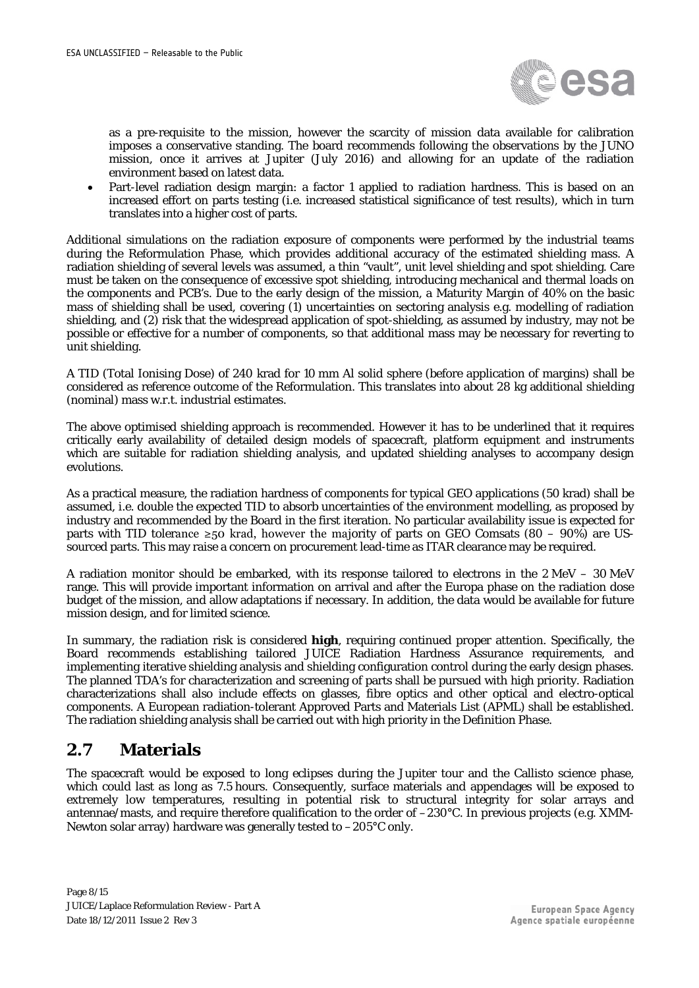

as a pre-requisite to the mission, however the scarcity of mission data available for calibration imposes a conservative standing. The board recommends following the observations by the JUNO mission, once it arrives at Jupiter (July 2016) and allowing for an update of the radiation environment based on latest data.

• Part-level radiation design margin: a factor 1 applied to radiation hardness. This is based on an increased effort on parts testing (i.e. increased statistical significance of test results), which in turn translates into a higher cost of parts.

Additional simulations on the radiation exposure of components were performed by the industrial teams during the Reformulation Phase, which provides additional accuracy of the estimated shielding mass. A radiation shielding of several levels was assumed, a thin "vault", unit level shielding and spot shielding. Care must be taken on the consequence of excessive spot shielding, introducing mechanical and thermal loads on the components and PCB's. Due to the early design of the mission, a Maturity Margin of 40% on the basic mass of shielding shall be used, covering (1) uncertainties on sectoring analysis e.g. modelling of radiation shielding, and (2) risk that the widespread application of spot-shielding, as assumed by industry, may not be possible or effective for a number of components, so that additional mass may be necessary for reverting to unit shielding.

A TID (Total Ionising Dose) of 240 krad for 10 mm Al solid sphere (before application of margins) shall be considered as reference outcome of the Reformulation. This translates into about 28 kg additional shielding (nominal) mass w.r.t. industrial estimates.

The above optimised shielding approach is recommended. However it has to be underlined that it requires critically early availability of detailed design models of spacecraft, platform equipment and instruments which are suitable for radiation shielding analysis, and updated shielding analyses to accompany design evolutions.

As a practical measure, the radiation hardness of components for typical GEO applications (50 krad) shall be assumed, i.e. double the expected TID to absorb uncertainties of the environment modelling, as proposed by industry and recommended by the Board in the first iteration. No particular availability issue is expected for parts with TID tolerance  $\geq 50$  krad, however the majority of parts on GEO Comsats (80 – 90%) are USsourced parts. This may raise a concern on procurement lead-time as ITAR clearance may be required.

A radiation monitor should be embarked, with its response tailored to electrons in the 2 MeV – 30 MeV range. This will provide important information on arrival and after the Europa phase on the radiation dose budget of the mission, and allow adaptations if necessary. In addition, the data would be available for future mission design, and for limited science.

In summary, the radiation risk is considered **high**, requiring continued proper attention. Specifically, the Board recommends establishing tailored JUICE Radiation Hardness Assurance requirements, and implementing iterative shielding analysis and shielding configuration control during the early design phases. The planned TDA's for characterization and screening of parts shall be pursued with high priority. Radiation characterizations shall also include effects on glasses, fibre optics and other optical and electro-optical components. A European radiation-tolerant Approved Parts and Materials List (APML) shall be established. The radiation shielding analysis shall be carried out with high priority in the Definition Phase.

#### <span id="page-7-0"></span>**2.7 Materials**

The spacecraft would be exposed to long eclipses during the Jupiter tour and the Callisto science phase, which could last as long as 7.5 hours. Consequently, surface materials and appendages will be exposed to extremely low temperatures, resulting in potential risk to structural integrity for solar arrays and antennae/masts, and require therefore qualification to the order of –230°C. In previous projects (e.g. XMM-Newton solar array) hardware was generally tested to –205°C only.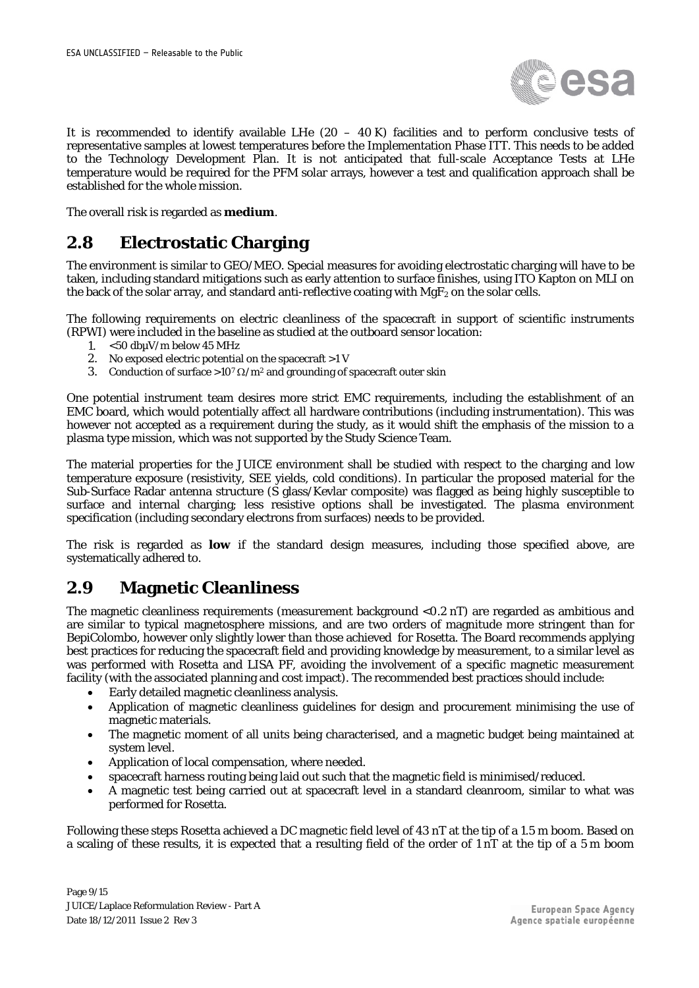

It is recommended to identify available LHe  $(20 - 40 \text{ K})$  facilities and to perform conclusive tests of representative samples at lowest temperatures before the Implementation Phase ITT. This needs to be added to the Technology Development Plan. It is not anticipated that full-scale Acceptance Tests at LHe temperature would be required for the PFM solar arrays, however a test and qualification approach shall be established for the whole mission.

<span id="page-8-0"></span>The overall risk is regarded as **medium**.

#### **2.8 Electrostatic Charging**

The environment is similar to GEO/MEO. Special measures for avoiding electrostatic charging will have to be taken, including standard mitigations such as early attention to surface finishes, using ITO Kapton on MLI on the back of the solar array, and standard anti-reflective coating with  $MgF_2$  on the solar cells.

The following requirements on electric cleanliness of the spacecraft in support of scientific instruments (RPWI) were included in the baseline as studied at the outboard sensor location:

- 1. <50 dbµV/m below 45 MHz
- 2. No exposed electric potential on the spacecraft >1 V
- 3. Conduction of surface >10<sup>7</sup>  $\Omega/m^2$  and grounding of spacecraft outer skin

One potential instrument team desires more strict EMC requirements, including the establishment of an EMC board, which would potentially affect all hardware contributions (including instrumentation). This was however not accepted as a requirement during the study, as it would shift the emphasis of the mission to a plasma type mission, which was not supported by the Study Science Team.

The material properties for the JUICE environment shall be studied with respect to the charging and low temperature exposure (resistivity, SEE yields, cold conditions). In particular the proposed material for the Sub-Surface Radar antenna structure (S glass/Kevlar composite) was flagged as being highly susceptible to surface and internal charging; less resistive options shall be investigated. The plasma environment specification (including secondary electrons from surfaces) needs to be provided.

The risk is regarded as **low** if the standard design measures, including those specified above, are systematically adhered to.

#### <span id="page-8-1"></span>**2.9 Magnetic Cleanliness**

The magnetic cleanliness requirements (measurement background <0.2 nT) are regarded as ambitious and are similar to typical magnetosphere missions, and are two orders of magnitude more stringent than for BepiColombo, however only slightly lower than those achieved for Rosetta. The Board recommends applying best practices for reducing the spacecraft field and providing knowledge by measurement, to a similar level as was performed with Rosetta and LISA PF, avoiding the involvement of a specific magnetic measurement facility (with the associated planning and cost impact). The recommended best practices should include:

- Early detailed magnetic cleanliness analysis.
- Application of magnetic cleanliness guidelines for design and procurement minimising the use of magnetic materials.
- The magnetic moment of all units being characterised, and a magnetic budget being maintained at system level.
- Application of local compensation, where needed.
- spacecraft harness routing being laid out such that the magnetic field is minimised/reduced.
- A magnetic test being carried out at spacecraft level in a standard cleanroom, similar to what was performed for Rosetta.

Following these steps Rosetta achieved a DC magnetic field level of 43 nT at the tip of a 1.5 m boom. Based on a scaling of these results, it is expected that a resulting field of the order of 1 nT at the tip of a 5 m boom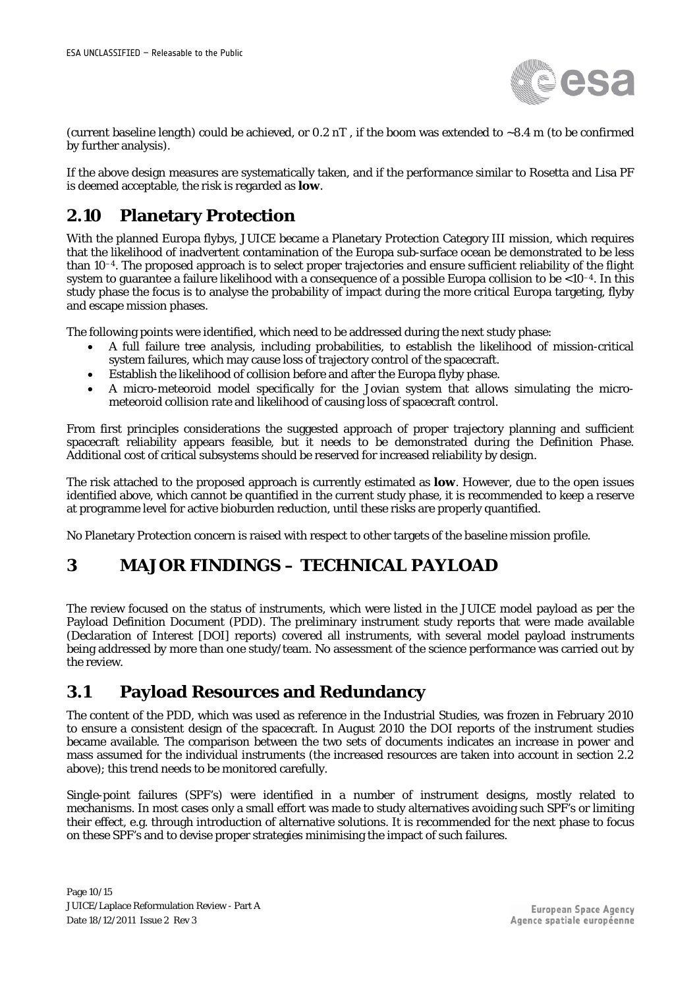

(current baseline length) could be achieved, or  $0.2$  nT, if the boom was extended to  $\sim$ 8.4 m (to be confirmed by further analysis).

If the above design measures are systematically taken, and if the performance similar to Rosetta and Lisa PF is deemed acceptable, the risk is regarded as **low**.

#### <span id="page-9-0"></span>**2.10 Planetary Protection**

With the planned Europa flybys, JUICE became a Planetary Protection Category III mission, which requires that the likelihood of inadvertent contamination of the Europa sub-surface ocean be demonstrated to be less than 10–4. The proposed approach is to select proper trajectories and ensure sufficient reliability of the flight system to guarantee a failure likelihood with a consequence of a possible Europa collision to be <10–4. In this study phase the focus is to analyse the probability of impact during the more critical Europa targeting, flyby and escape mission phases.

The following points were identified, which need to be addressed during the next study phase:

- A full failure tree analysis, including probabilities, to establish the likelihood of mission-critical system failures, which may cause loss of trajectory control of the spacecraft.
- Establish the likelihood of collision before and after the Europa flyby phase.
- A micro-meteoroid model specifically for the Jovian system that allows simulating the micrometeoroid collision rate and likelihood of causing loss of spacecraft control.

From first principles considerations the suggested approach of proper trajectory planning and sufficient spacecraft reliability appears feasible, but it needs to be demonstrated during the Definition Phase. Additional cost of critical subsystems should be reserved for increased reliability by design.

The risk attached to the proposed approach is currently estimated as **low**. However, due to the open issues identified above, which cannot be quantified in the current study phase, it is recommended to keep a reserve at programme level for active bioburden reduction, until these risks are properly quantified.

<span id="page-9-1"></span>No Planetary Protection concern is raised with respect to other targets of the baseline mission profile.

#### **3 MAJOR FINDINGS – TECHNICAL PAYLOAD**

The review focused on the status of instruments, which were listed in the JUICE model payload as per the Payload Definition Document (PDD). The preliminary instrument study reports that were made available (Declaration of Interest [DOI] reports) covered all instruments, with several model payload instruments being addressed by more than one study/team. No assessment of the science performance was carried out by the review.

#### <span id="page-9-2"></span>**3.1 Payload Resources and Redundancy**

The content of the PDD, which was used as reference in the Industrial Studies, was frozen in February 2010 to ensure a consistent design of the spacecraft. In August 2010 the DOI reports of the instrument studies became available. The comparison between the two sets of documents indicates an increase in power and mass assumed for the individual instruments (the increased resources are taken into account in section [2.2](#page-3-2) above); this trend needs to be monitored carefully.

Single-point failures (SPF's) were identified in a number of instrument designs, mostly related to mechanisms. In most cases only a small effort was made to study alternatives avoiding such SPF's or limiting their effect, e.g. through introduction of alternative solutions. It is recommended for the next phase to focus on these SPF's and to devise proper strategies minimising the impact of such failures.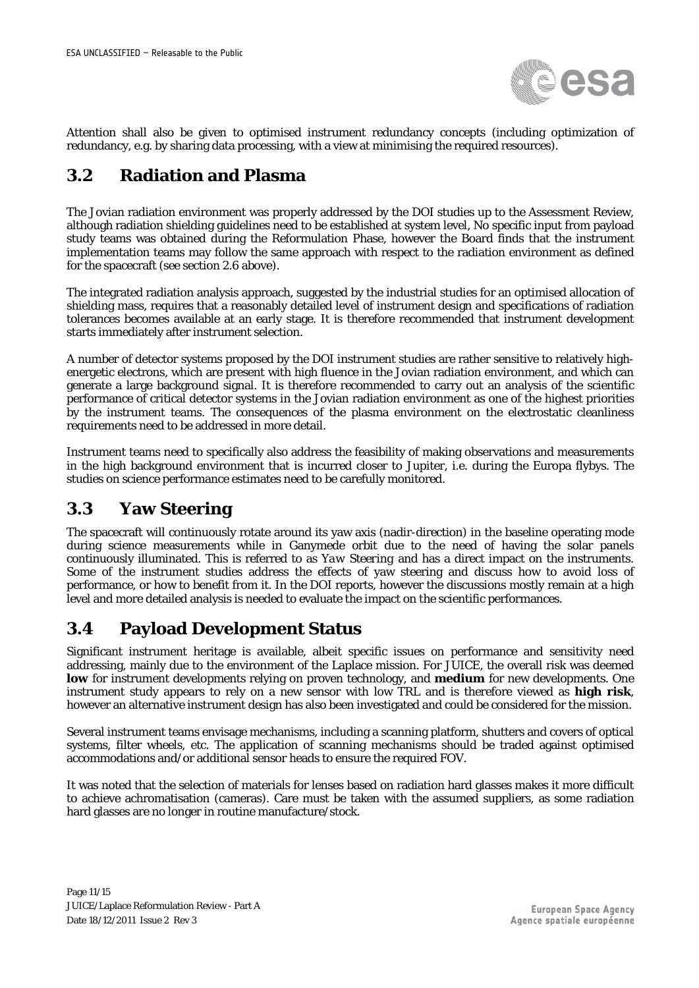

Attention shall also be given to optimised instrument redundancy concepts (including optimization of redundancy, e.g. by sharing data processing, with a view at minimising the required resources).

#### <span id="page-10-0"></span>**3.2 Radiation and Plasma**

The Jovian radiation environment was properly addressed by the DOI studies up to the Assessment Review, although radiation shielding guidelines need to be established at system level, No specific input from payload study teams was obtained during the Reformulation Phase, however the Board finds that the instrument implementation teams may follow the same approach with respect to the radiation environment as defined for the spacecraft (see section [2.6](#page-6-1) above).

The integrated radiation analysis approach, suggested by the industrial studies for an optimised allocation of shielding mass, requires that a reasonably detailed level of instrument design and specifications of radiation tolerances becomes available at an early stage. It is therefore recommended that instrument development starts immediately after instrument selection.

A number of detector systems proposed by the DOI instrument studies are rather sensitive to relatively highenergetic electrons, which are present with high fluence in the Jovian radiation environment, and which can generate a large background signal. It is therefore recommended to carry out an analysis of the scientific performance of critical detector systems in the Jovian radiation environment as one of the highest priorities by the instrument teams. The consequences of the plasma environment on the electrostatic cleanliness requirements need to be addressed in more detail.

Instrument teams need to specifically also address the feasibility of making observations and measurements in the high background environment that is incurred closer to Jupiter, i.e. during the Europa flybys. The studies on science performance estimates need to be carefully monitored.

#### <span id="page-10-1"></span>**3.3 Yaw Steering**

The spacecraft will continuously rotate around its yaw axis (nadir-direction) in the baseline operating mode during science measurements while in Ganymede orbit due to the need of having the solar panels continuously illuminated. This is referred to as *Yaw Steering* and has a direct impact on the instruments. Some of the instrument studies address the effects of yaw steering and discuss how to avoid loss of performance, or how to benefit from it. In the DOI reports, however the discussions mostly remain at a high level and more detailed analysis is needed to evaluate the impact on the scientific performances.

#### <span id="page-10-2"></span>**3.4 Payload Development Status**

Significant instrument heritage is available, albeit specific issues on performance and sensitivity need addressing, mainly due to the environment of the Laplace mission. For JUICE, the overall risk was deemed **low** for instrument developments relying on proven technology, and **medium** for new developments. One instrument study appears to rely on a new sensor with low TRL and is therefore viewed as **high risk**, however an alternative instrument design has also been investigated and could be considered for the mission.

Several instrument teams envisage mechanisms, including a scanning platform, shutters and covers of optical systems, filter wheels, etc. The application of scanning mechanisms should be traded against optimised accommodations and/or additional sensor heads to ensure the required FOV.

It was noted that the selection of materials for lenses based on radiation hard glasses makes it more difficult to achieve achromatisation (cameras). Care must be taken with the assumed suppliers, as some radiation hard glasses are no longer in routine manufacture/stock.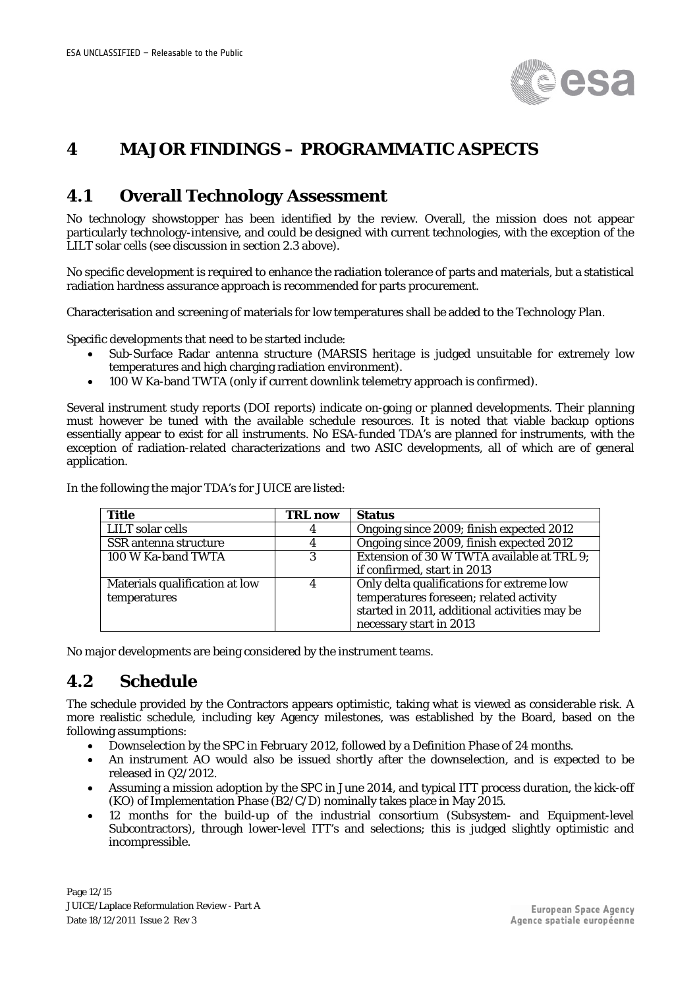

#### <span id="page-11-0"></span>**4 MAJOR FINDINGS – PROGRAMMATIC ASPECTS**

#### <span id="page-11-1"></span>**4.1 Overall Technology Assessment**

No technology showstopper has been identified by the review. Overall, the mission does not appear particularly technology-intensive, and could be designed with current technologies, with the exception of the LILT solar cells (see discussion in section [2.3](#page-4-0) above).

No specific development is required to enhance the radiation tolerance of parts and materials, but a statistical radiation hardness assurance approach is recommended for parts procurement.

Characterisation and screening of materials for low temperatures shall be added to the Technology Plan.

Specific developments that need to be started include:

- Sub-Surface Radar antenna structure (MARSIS heritage is judged unsuitable for extremely low temperatures and high charging radiation environment).
- 100 W Ka-band TWTA (only if current downlink telemetry approach is confirmed).

Several instrument study reports (DOI reports) indicate on-going or planned developments. Their planning must however be tuned with the available schedule resources. It is noted that viable backup options essentially appear to exist for all instruments. No ESA-funded TDA's are planned for instruments, with the exception of radiation-related characterizations and two ASIC developments, all of which are of general application.

| <b>Title</b>                   | <b>TRL now</b> | <b>Status</b>                                 |
|--------------------------------|----------------|-----------------------------------------------|
| LILT solar cells               | 4              | Ongoing since 2009; finish expected 2012      |
| SSR antenna structure          |                | Ongoing since 2009, finish expected 2012      |
| 100 W Ka-band TWTA             | 3              | Extension of 30 W TWTA available at TRL 9;    |
|                                |                | if confirmed, start in 2013                   |
| Materials qualification at low |                | Only delta qualifications for extreme low     |
| temperatures                   |                | temperatures foreseen; related activity       |
|                                |                | started in 2011, additional activities may be |
|                                |                | necessary start in 2013                       |

In the following the major TDA's for JUICE are listed:

<span id="page-11-2"></span>No major developments are being considered by the instrument teams.

#### **4.2 Schedule**

The schedule provided by the Contractors appears optimistic, taking what is viewed as considerable risk. A more realistic schedule, including key Agency milestones, was established by the Board, based on the following assumptions:

- Downselection by the SPC in February 2012, followed by a Definition Phase of 24 months.
- An instrument AO would also be issued shortly after the downselection, and is expected to be released in Q2/2012.
- Assuming a mission adoption by the SPC in June 2014, and typical ITT process duration, the kick-off (KO) of Implementation Phase (B2/C/D) nominally takes place in May 2015.
- 12 months for the build-up of the industrial consortium (Subsystem- and Equipment-level Subcontractors), through lower-level ITT's and selections; this is judged slightly optimistic and incompressible.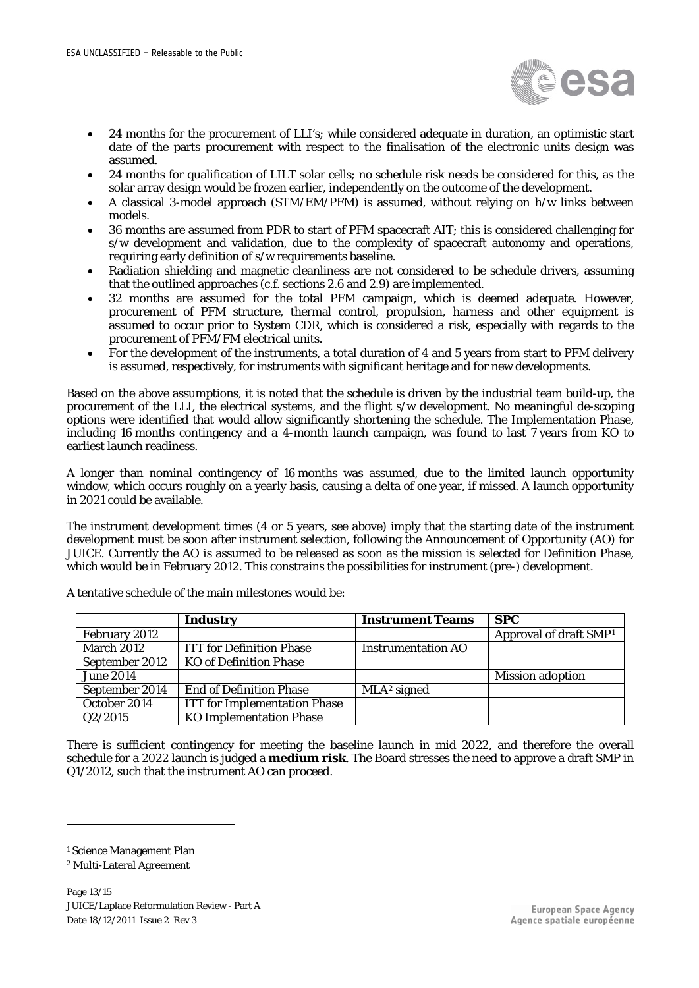

- 24 months for the procurement of LLI's; while considered adequate in duration, an optimistic start date of the parts procurement with respect to the finalisation of the electronic units design was assumed.
- 24 months for qualification of LILT solar cells; no schedule risk needs be considered for this, as the solar array design would be frozen earlier, independently on the outcome of the development.
- A classical 3-model approach (STM/EM/PFM) is assumed, without relying on h/w links between models.
- 36 months are assumed from PDR to start of PFM spacecraft AIT; this is considered challenging for s/w development and validation, due to the complexity of spacecraft autonomy and operations, requiring early definition of s/w requirements baseline.
- Radiation shielding and magnetic cleanliness are not considered to be schedule drivers, assuming that the outlined approaches (c.f. sections [2.6](#page-6-1) and [2.9\)](#page-8-1) are implemented.
- 32 months are assumed for the total PFM campaign, which is deemed adequate. However, procurement of PFM structure, thermal control, propulsion, harness and other equipment is assumed to occur prior to System CDR, which is considered a risk, especially with regards to the procurement of PFM/FM electrical units.
- For the development of the instruments, a total duration of 4 and 5 years from start to PFM delivery is assumed, respectively, for instruments with significant heritage and for new developments.

Based on the above assumptions, it is noted that the schedule is driven by the industrial team build-up, the procurement of the LLI, the electrical systems, and the flight s/w development. No meaningful de-scoping options were identified that would allow significantly shortening the schedule. The Implementation Phase, including 16 months contingency and a 4-month launch campaign, was found to last 7 years from KO to earliest launch readiness.

A longer than nominal contingency of 16 months was assumed, due to the limited launch opportunity window, which occurs roughly on a yearly basis, causing a delta of one year, if missed. A launch opportunity in 2021 could be available.

The instrument development times (4 or 5 years, see above) imply that the starting date of the instrument development must be soon after instrument selection, following the Announcement of Opportunity (AO) for JUICE. Currently the AO is assumed to be released as soon as the mission is selected for Definition Phase, which would be in February 2012. This constrains the possibilities for instrument (pre-) development.

|                   | Industry                            | <b>Instrument Teams</b>   | <b>SPC</b>                         |
|-------------------|-------------------------------------|---------------------------|------------------------------------|
| February 2012     |                                     |                           | Approval of draft SMP <sup>1</sup> |
| <b>March 2012</b> | <b>ITT</b> for Definition Phase     | <b>Instrumentation AO</b> |                                    |
| September 2012    | <b>KO</b> of Definition Phase       |                           |                                    |
| <b>June 2014</b>  |                                     |                           | <b>Mission adoption</b>            |
| September 2014    | <b>End of Definition Phase</b>      | $MLA2$ signed             |                                    |
| October 2014      | <b>ITT</b> for Implementation Phase |                           |                                    |
| Q2/2015           | <b>KO Implementation Phase</b>      |                           |                                    |

A tentative schedule of the main milestones would be:

There is sufficient contingency for meeting the baseline launch in mid 2022, and therefore the overall schedule for a 2022 launch is judged a **medium risk**. The Board stresses the need to approve a draft SMP in Q1/2012, such that the instrument AO can proceed.

1

<span id="page-12-0"></span><sup>&</sup>lt;sup>1</sup> Science Management Plan

<sup>2</sup> Multi-Lateral Agreement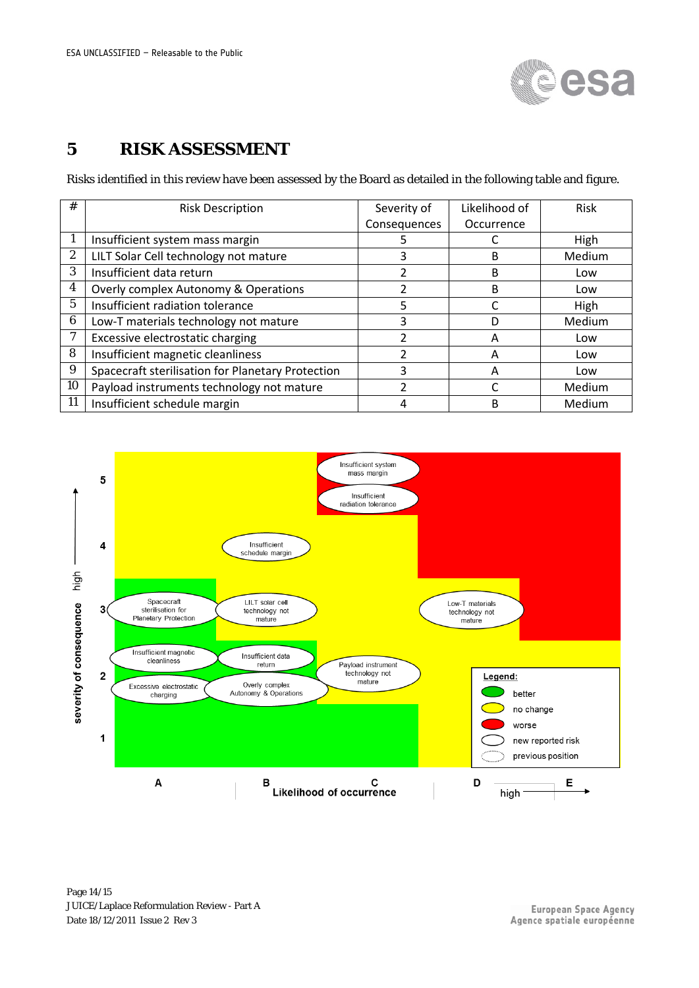

### <span id="page-13-0"></span>**5 RISK ASSESSMENT**

Risks identified in this review have been assessed by the Board as detailed in the following table and figure.

| #                | <b>Risk Description</b>                           | Severity of  | Likelihood of | <b>Risk</b> |
|------------------|---------------------------------------------------|--------------|---------------|-------------|
|                  |                                                   | Consequences | Occurrence    |             |
|                  | Insufficient system mass margin                   |              |               | High        |
| 2                | LILT Solar Cell technology not mature             |              | B             | Medium      |
| 3                | Insufficient data return                          | 2            | B             | Low         |
| $\boldsymbol{4}$ | Overly complex Autonomy & Operations              |              | B             | Low         |
| 5                | Insufficient radiation tolerance                  | 5            |               | High        |
| 6                | Low-T materials technology not mature             | 3            | D             | Medium      |
| 7                | Excessive electrostatic charging                  | っ            | A             | Low         |
| 8                | Insufficient magnetic cleanliness                 | າ            | А             | Low         |
| 9                | Spacecraft sterilisation for Planetary Protection | ς            | A             | Low         |
| 10               | Payload instruments technology not mature         | າ            |               | Medium      |
| 11               | Insufficient schedule margin                      |              | B             | Medium      |